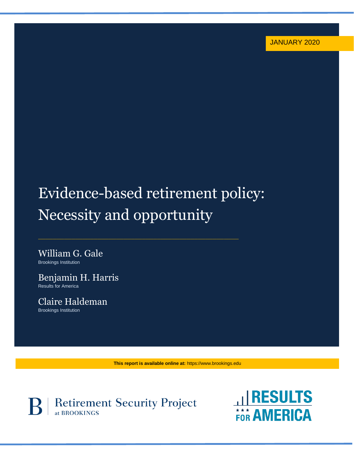# Evidence-based retirement policy: Necessity and opportunity

\_\_\_\_\_\_\_\_\_\_\_\_\_\_\_\_\_\_\_\_\_\_\_\_\_\_\_\_\_\_\_\_\_\_\_\_\_\_\_\_\_\_\_\_\_\_\_\_\_\_\_\_\_\_

William G. Gale Brookings Institution

Benjamin H. Harris Results for America

Claire Haldeman Brookings Institution

**This report is available online at:** https://www.brookings.edu



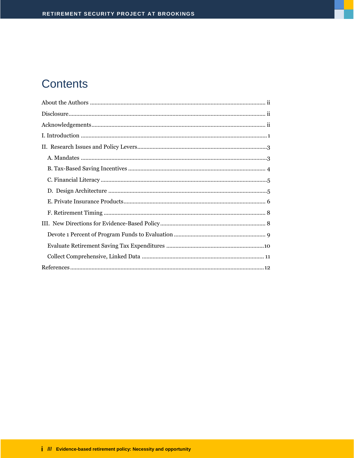## **Contents**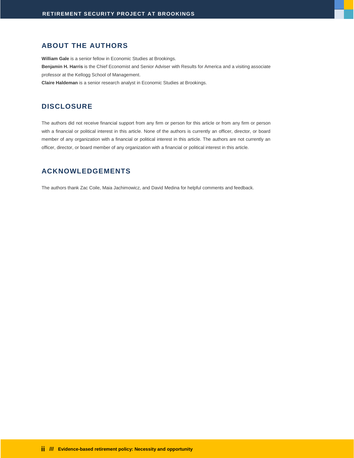#### <span id="page-2-0"></span>**ABOUT THE AUTHORS**

**William Gale** is a senior fellow in Economic Studies at Brookings. **Benjamin H. Harris** is the Chief Economist and Senior Adviser with Results for America and a visiting associate professor at the Kellogg School of Management. **Claire Haldeman** is a senior research analyst in Economic Studies at Brookings.

#### <span id="page-2-1"></span>**DISCLOSURE**

<span id="page-2-2"></span>The authors did not receive financial support from any firm or person for this article or from any firm or person with a financial or political interest in this article. None of the authors is currently an officer, director, or board member of any organization with a financial or political interest in this article. The authors are not currently an officer, director, or board member of any organization with a financial or political interest in this article.

#### **ACKNOWLEDGEMENTS**

The authors thank Zac Coile, Maia Jachimowicz, and David Medina for helpful comments and feedback.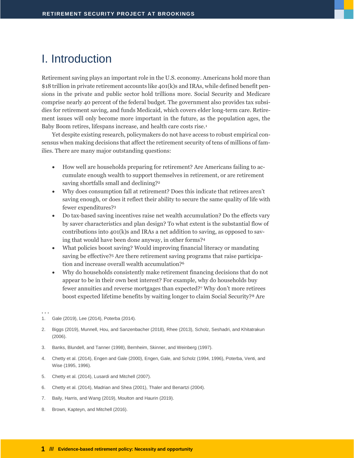## <span id="page-3-0"></span>I. Introduction

Retirement saving plays an important role in the U.S. economy. Americans hold more than \$18 trillion in private retirement accounts like 401(k)s and IRAs, while defined benefit pensions in the private and public sector hold trillions more. Social Security and Medicare comprise nearly 40 percent of the federal budget. The government also provides tax subsidies for retirement saving, and funds Medicaid, which covers elder long-term care. Retirement issues will only become more important in the future, as the population ages, the Baby Boom retires, lifespans increase, and health care costs rise.<sup>1</sup>

Yet despite existing research, policymakers do not have access to robust empirical consensus when making decisions that affect the retirement security of tens of millions of families. There are many major outstanding questions:

- How well are households preparing for retirement? Are Americans failing to accumulate enough wealth to support themselves in retirement, or are retirement saving shortfalls small and declining?<sup>2</sup>
- Why does consumption fall at retirement? Does this indicate that retirees aren't saving enough, or does it reflect their ability to secure the same quality of life with fewer expenditures?<sup>3</sup>
- Do tax-based saving incentives raise net wealth accumulation? Do the effects vary by saver characteristics and plan design? To what extent is the substantial flow of contributions into 401(k)s and IRAs a net addition to saving, as opposed to saving that would have been done anyway, in other forms?<sup>4</sup>
- What policies boost saving? Would improving financial literacy or mandating saving be effective?<sup>5</sup> Are there retirement saving programs that raise participation and increase overall wealth accumulation?<sup>6</sup>
- Why do households consistently make retirement financing decisions that do not appear to be in their own best interest? For example, why do households buy fewer annuities and reverse mortgages than expected?<sup>7</sup> Why don't more retirees boost expected lifetime benefits by waiting longer to claim Social Security?<sup>8</sup> Are

- 2. Biggs (2019), Munnell, Hou, and Sanzenbacher (2018), Rhee (2013), Scholz, Seshadri, and Khitatrakun (2006).
- 3. Banks, Blundell, and Tanner (1998), Bernheim, Skinner, and Weinberg (1997).
- 4. Chetty et al. (2014), Engen and Gale (2000), Engen, Gale, and Scholz (1994, 1996), Poterba, Venti, and Wise (1995, 1996).
- 5. Chetty et al. (2014), Lusardi and Mitchell (2007).
- 6. Chetty et al. (2014), Madrian and Shea (2001), Thaler and Benartzi (2004).
- 7. Baily, Harris, and Wang (2019), Moulton and Haurin (2019).
- 8. Brown, Kapteyn, and Mitchell (2016).

<sup>. . .</sup>

<sup>1.</sup> Gale (2019), Lee (2014), Poterba (2014).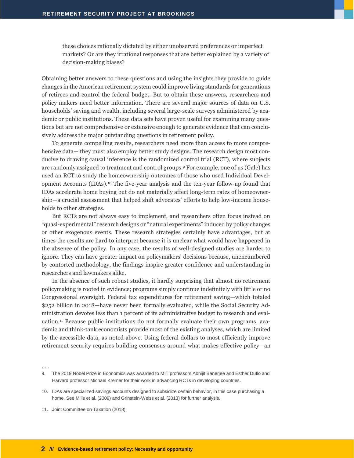these choices rationally dictated by either unobserved preferences or imperfect markets? Or are they irrational responses that are better explained by a variety of decision-making biases?

Obtaining better answers to these questions and using the insights they provide to guide changes in the American retirement system could improve living standards for generations of retirees and control the federal budget. But to obtain these answers, researchers and policy makers need better information. There are several major sources of data on U.S. households' saving and wealth, including several large-scale surveys administered by academic or public institutions. These data sets have proven useful for examining many questions but are not comprehensive or extensive enough to generate evidence that can conclusively address the major outstanding questions in retirement policy.

To generate compelling results, researchers need more than access to more comprehensive data— they must also employ better study designs. The research design most conducive to drawing causal inference is the randomized control trial (RCT), where subjects are randomly assigned to treatment and control groups.<sup>9</sup> For example, one of us (Gale) has used an RCT to study the homeownership outcomes of those who used Individual Development Accounts (IDAs).<sup>10</sup> The five-year analysis and the ten-year follow-up found that IDAs accelerate home buying but do not materially affect long-term rates of homeownership—a crucial assessment that helped shift advocates' efforts to help low-income households to other strategies.

But RCTs are not always easy to implement, and researchers often focus instead on "quasi-experimental" research designs or "natural experiments" induced by policy changes or other exogenous events. These research strategies certainly have advantages, but at times the results are hard to interpret because it is unclear what would have happened in the absence of the policy. In any case, the results of well-designed studies are harder to ignore. They can have greater impact on policymakers' decisions because, unencumbered by contorted methodology, the findings inspire greater confidence and understanding in researchers and lawmakers alike.

In the absence of such robust studies, it hardly surprising that almost no retirement policymaking is rooted in evidence; programs simply continue indefinitely with little or no Congressional oversight. Federal tax expenditures for retirement saving—which totaled \$252 billion in 2018—have never been formally evaluated, while the Social Security Administration devotes less than 1 percent of its administrative budget to research and evaluation.<sup>11</sup> Because public institutions do not formally evaluate their own programs, academic and think-tank economists provide most of the existing analyses, which are limited by the accessible data, as noted above. Using federal dollars to most efficiently improve retirement security requires building consensus around what makes effective policy—an

. . .

11. Joint Committee on Taxation (2018).

<sup>9.</sup> The 2019 Nobel Prize in Economics was awarded to MIT professors Abhijit Banerjee and Esther Duflo and Harvard professor Michael Kremer for their work in advancing RCTs in developing countries.

<sup>10.</sup> IDAs are specialized savings accounts designed to subsidize certain behavior, in this case purchasing a home. See Mills et al. (2009) and Grinstein-Weiss et al. (2013) for further analysis.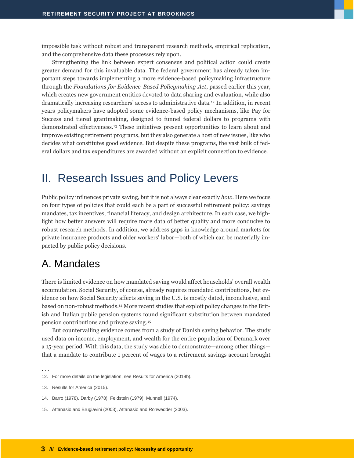impossible task without robust and transparent research methods, empirical replication, and the comprehensive data these processes rely upon.

Strengthening the link between expert consensus and political action could create greater demand for this invaluable data. The federal government has already taken important steps towards implementing a more evidence-based policymaking infrastructure through the *Foundations for Evidence-Based Policymaking Act*, passed earlier this year, which creates new government entities devoted to data sharing and evaluation, while also dramatically increasing researchers' access to administrative data.<sup>12</sup> In addition, in recent years policymakers have adopted some evidence-based policy mechanisms, like Pay for Success and tiered grantmaking, designed to funnel federal dollars to programs with demonstrated effectiveness.<sup>13</sup> These initiatives present opportunities to learn about and improve existing retirement programs, but they also generate a host of new issues, like who decides what constitutes good evidence. But despite these programs, the vast bulk of federal dollars and tax expenditures are awarded without an explicit connection to evidence.

## <span id="page-5-0"></span>II. Research Issues and Policy Levers

Public policy influences private saving, but it is not always clear exactly *how*. Here we focus on four types of policies that could each be a part of successful retirement policy: savings mandates, tax incentives, financial literacy, and design architecture. In each case, we highlight how better answers will require more data of better quality and more conducive to robust research methods. In addition, we address gaps in knowledge around markets for private insurance products and older workers' labor—both of which can be materially impacted by public policy decisions.

#### <span id="page-5-1"></span>A. Mandates

There is limited evidence on how mandated saving would affect households' overall wealth accumulation. Social Security, of course, already requires mandated contributions, but evidence on how Social Security affects saving in the U.S. is mostly dated, inconclusive, and based on non-robust methods.<sup>14</sup> More recent studies that exploit policy changes in the British and Italian public pension systems found significant substitution between mandated pension contributions and private saving.<sup>15</sup>

But countervailing evidence comes from a study of Danish saving behavior. The study used data on income, employment, and wealth for the entire population of Denmark over a 15-year period. With this data, the study was able to demonstrate—among other things that a mandate to contribute 1 percent of wages to a retirement savings account brought

15. Attanasio and Brugiavini (2003), Attanasio and Rohwedder (2003).

<sup>. . .</sup>

<sup>12.</sup> For more details on the legislation, see Results for America (2019b).

<sup>13.</sup> Results for America (2015).

<sup>14.</sup> Barro (1978), Darby (1978), Feldstein (1979), Munnell (1974).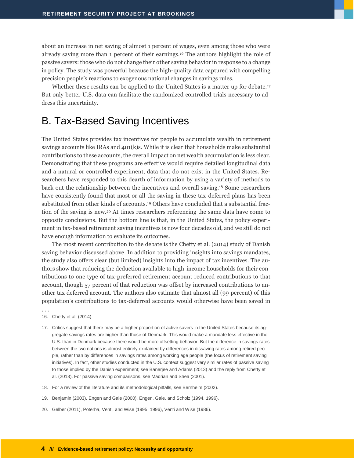about an increase in net saving of almost 1 percent of wages, even among those who were already saving more than 1 percent of their earnings.<sup>16</sup> The authors highlight the role of passive savers: those who do not change their other saving behavior in response to a change in policy. The study was powerful because the high-quality data captured with compelling precision people's reactions to exogenous national changes in savings rules.

Whether these results can be applied to the United States is a matter up for debate.<sup>17</sup> But only better U.S. data can facilitate the randomized controlled trials necessary to address this uncertainty.

#### <span id="page-6-0"></span>B. Tax-Based Saving Incentives

The United States provides tax incentives for people to accumulate wealth in retirement savings accounts like IRAs and  $401(k)s$ . While it is clear that households make substantial contributions to these accounts, the overall impact on net wealth accumulation is less clear. Demonstrating that these programs are effective would require detailed longitudinal data and a natural or controlled experiment, data that do not exist in the United States. Researchers have responded to this dearth of information by using a variety of methods to back out the relationship between the incentives and overall saving.<sup>18</sup> Some researchers have consistently found that most or all the saving in these tax-deferred plans has been substituted from other kinds of accounts.<sup>19</sup> Others have concluded that a substantial fraction of the saving is new.<sup>20</sup> At times researchers referencing the same data have come to opposite conclusions. But the bottom line is that, in the United States, the policy experiment in tax-based retirement saving incentives is now four decades old, and we still do not have enough information to evaluate its outcomes.

The most recent contribution to the debate is the Chetty et al. (2014) study of Danish saving behavior discussed above. In addition to providing insights into savings mandates, the study also offers clear (but limited) insights into the impact of tax incentives. The authors show that reducing the deduction available to high-income households for their contributions to one type of tax-preferred retirement account reduced contributions to that account, though 57 percent of that reduction was offset by increased contributions to another tax deferred account. The authors also estimate that almost all (99 percent) of this population's contributions to tax-deferred accounts would otherwise have been saved in

- 16. Chetty et al. (2014)
- 17. Critics suggest that there may be a higher proportion of active savers in the United States because its aggregate savings rates are higher than those of Denmark. This would make a mandate less effective in the U.S. than in Denmark because there would be more offsetting behavior. But the difference in savings rates between the two nations is almost entirely explained by differences in dissaving rates among retired people, rather than by differences in savings rates among working age people (the focus of retirement saving initiatives). In fact, other studies conducted in the U.S. context suggest very similar rates of passive saving to those implied by the Danish experiment; see Banerjee and Adams (2013) and the reply from Chetty et al. (2013). For passive saving comparisons, see Madrian and Shea (2001).
- 18. For a review of the literature and its methodological pitfalls, see Bernheim (2002).
- 19. Benjamin (2003), Engen and Gale (2000), Engen, Gale, and Scholz (1994, 1996).
- 20. Gelber (2011), Poterba, Venti, and Wise (1995, 1996), Venti and Wise (1986).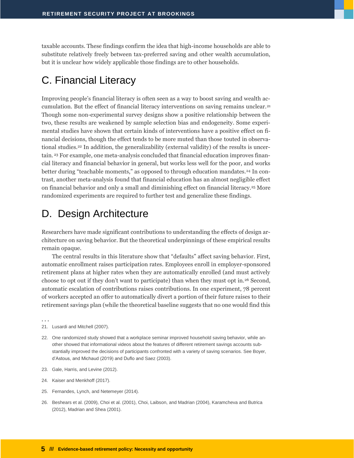taxable accounts. These findings confirm the idea that high-income households are able to substitute relatively freely between tax-preferred saving and other wealth accumulation, but it is unclear how widely applicable those findings are to other households.

## <span id="page-7-0"></span>C. Financial Literacy

Improving people's financial literacy is often seen as a way to boost saving and wealth accumulation. But the effect of financial literacy interventions on saving remains unclear.<sup>21</sup> Though some non-experimental survey designs show a positive relationship between the two, these results are weakened by sample selection bias and endogeneity. Some experimental studies have shown that certain kinds of interventions have a positive effect on financial decisions, though the effect tends to be more muted than those touted in observational studies.<sup>22</sup> In addition, the generalizability (external validity) of the results is uncertain. <sup>23</sup> For example, one meta-analysis concluded that financial education improves financial literacy and financial behavior in general, but works less well for the poor, and works better during "teachable moments," as opposed to through education mandates.<sup>24</sup> In contrast, another meta-analysis found that financial education has an almost negligible effect on financial behavior and only a small and diminishing effect on financial literacy.<sup>25</sup> More randomized experiments are required to further test and generalize these findings.

#### <span id="page-7-1"></span>D. Design Architecture

Researchers have made significant contributions to understanding the effects of design architecture on saving behavior. But the theoretical underpinnings of these empirical results remain opaque.

The central results in this literature show that "defaults" affect saving behavior. First, automatic enrollment raises participation rates. Employees enroll in employer-sponsored retirement plans at higher rates when they are automatically enrolled (and must actively choose to opt out if they don't want to participate) than when they must opt in.<sup>26</sup> Second, automatic escalation of contributions raises contributions. In one experiment, 78 percent of workers accepted an offer to automatically divert a portion of their future raises to their retirement savings plan (while the theoretical baseline suggests that no one would find this

- 22. One randomized study showed that a workplace seminar improved household saving behavior, while another showed that informational videos about the features of different retirement savings accounts substantially improved the decisions of participants confronted with a variety of saving scenarios. See Boyer, d'Astous, and Michaud (2019) and Duflo and Saez (2003).
- 23. Gale, Harris, and Levine (2012).
- 24. Kaiser and Menkhoff (2017).
- 25. Fernandes, Lynch, and Netemeyer (2014).
- 26. Beshears et al. (2009), Choi et al. (2001), Choi, Laibson, and Madrian (2004), Karamcheva and Butrica (2012), Madrian and Shea (2001).

<sup>21.</sup> Lusardi and Mitchell (2007).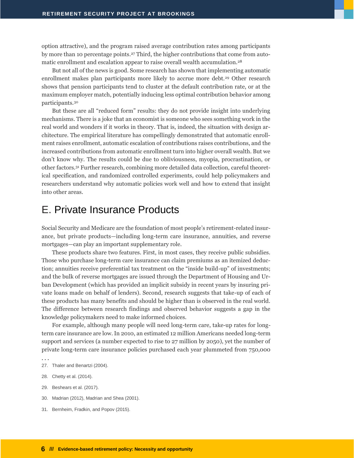option attractive), and the program raised average contribution rates among participants by more than 10 percentage points.<sup>27</sup> Third, the higher contributions that come from automatic enrollment and escalation appear to raise overall wealth accumulation.<sup>28</sup>

But not all of the news is good. Some research has shown that implementing automatic enrollment makes plan participants more likely to accrue more debt.<sup>29</sup> Other research shows that pension participants tend to cluster at the default contribution rate, or at the maximum employer match, potentially inducing less optimal contribution behavior among participants.<sup>30</sup>

But these are all "reduced form" results: they do not provide insight into underlying mechanisms. There is a joke that an economist is someone who sees something work in the real world and wonders if it works in theory. That is, indeed, the situation with design architecture. The empirical literature has compellingly demonstrated that automatic enrollment raises enrollment, automatic escalation of contributions raises contributions, and the increased contributions from automatic enrollment turn into higher overall wealth. But we don't know why. The results could be due to obliviousness, myopia, procrastination, or other factors.<sup>31</sup> Further research, combining more detailed data collection, careful theoretical specification, and randomized controlled experiments, could help policymakers and researchers understand why automatic policies work well and how to extend that insight into other areas.

#### <span id="page-8-0"></span>E. Private Insurance Products

Social Security and Medicare are the foundation of most people's retirement-related insurance, but private products—including long-term care insurance, annuities, and reverse mortgages—can play an important supplementary role.

These products share two features. First, in most cases, they receive public subsidies. Those who purchase long-term care insurance can claim premiums as an itemized deduction; annuities receive preferential tax treatment on the "inside build-up" of investments; and the bulk of reverse mortgages are issued through the Department of Housing and Urban Development (which has provided an implicit subsidy in recent years by insuring private loans made on behalf of lenders). Second, research suggests that take-up of each of these products has many benefits and should be higher than is observed in the real world. The difference between research findings and observed behavior suggests a gap in the knowledge policymakers need to make informed choices.

For example, although many people will need long-term care, take-up rates for longterm care insurance are low. In 2010, an estimated 12 million Americans needed long-term support and services (a number expected to rise to 27 million by 2050), yet the number of private long-term care insurance policies purchased each year plummeted from 750,000

- . . .
- 27. Thaler and Benartzi (2004).
- 28. Chetty et al. (2014).
- 29. Beshears et al. (2017).
- 30. Madrian (2012), Madrian and Shea (2001).
- 31. Bernheim, Fradkin, and Popov (2015).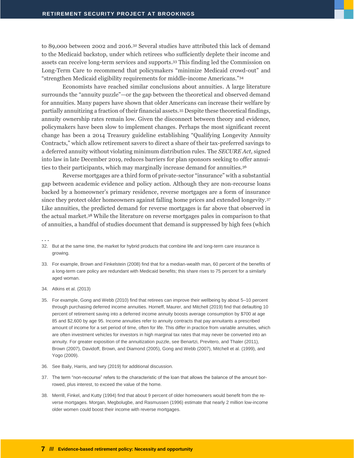to 89,000 between 2002 and 2016.<sup>32</sup> Several studies have attributed this lack of demand to the Medicaid backstop, under which retirees who sufficiently deplete their income and assets can receive long-term services and supports. <sup>33</sup> This finding led the Commission on Long-Term Care to recommend that policymakers "minimize Medicaid crowd-out" and "strengthen Medicaid eligibility requirements for middle-income Americans."<sup>34</sup>

Economists have reached similar conclusions about annuities. A large literature surrounds the "annuity puzzle"—or the gap between the theoretical and observed demand for annuities. Many papers have shown that older Americans can increase their welfare by partially annuitizing a fraction of their financial assets.<sup>35</sup> Despite these theoretical findings, annuity ownership rates remain low. Given the disconnect between theory and evidence, policymakers have been slow to implement changes. Perhaps the most significant recent change has been a 2014 Treasury guideline establishing "Qualifying Longevity Annuity Contracts," which allow retirement savers to direct a share of their tax-preferred savings to a deferred annuity without violating minimum distribution rules. The *SECURE Act,* signed into law in late December 2019, reduces barriers for plan sponsors seeking to offer annuities to their participants, which may marginally increase demand for annuities.<sup>36</sup>

Reverse mortgages are a third form of private-sector "insurance" with a substantial gap between academic evidence and policy action. Although they are non-recourse loans backed by a homeowner's primary residence, reverse mortgages are a form of insurance since they protect older homeowners against falling home prices and extended longevity.<sup>37</sup> Like annuities, the predicted demand for reverse mortgages is far above that observed in the actual market.<sup>38</sup> While the literature on reverse mortgages pales in comparison to that of annuities, a handful of studies document that demand is suppressed by high fees (which

- 32. But at the same time, the market for hybrid products that combine life and long-term care insurance is growing.
- 33. For example, Brown and Finkelstein (2008) find that for a median-wealth man, 60 percent of the benefits of a long-term care policy are redundant with Medicaid benefits; this share rises to 75 percent for a similarly aged woman.
- 34. Atkins et al. (2013)
- 35. For example, Gong and Webb (2010) find that retirees can improve their wellbeing by about 5–10 percent through purchasing deferred income annuities. Horneff, Maurer, and Mitchell (2019) find that defaulting 10 percent of retirement saving into a deferred income annuity boosts average consumption by \$700 at age 85 and \$2,600 by age 95. Income annuities refer to annuity contracts that pay annuitants a prescribed amount of income for a set period of time, often for life. This differ in practice from variable annuities, which are often investment vehicles for investors in high marginal tax rates that may never be converted into an annuity. For greater exposition of the annuitization puzzle, see Benartzi, Previtero, and Thaler (2011), Brown (2007), Davidoff, Brown, and Diamond (2005), Gong and Webb (2007), Mitchell et al. (1999), and Yogo (2009).
- 36. See Baily, Harris, and Iwry (2019) for additional discussion.
- 37. The term "non-recourse" refers to the characteristic of the loan that allows the balance of the amount borrowed, plus interest, to exceed the value of the home.
- 38. Merrill, Finkel, and Kutty (1994) find that about 9 percent of older homeowners would benefit from the reverse mortgages. Morgan, Megbolugbe, and Rasmussen (1996) estimate that nearly 2 million low-income older women could boost their income with reverse mortgages.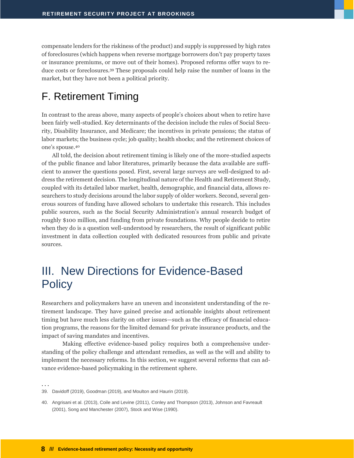compensate lenders for the riskiness of the product) and supply is suppressed by high rates of foreclosures (which happens when reverse mortgage borrowers don't pay property taxes or insurance premiums, or move out of their homes). Proposed reforms offer ways to reduce costs or foreclosures.<sup>39</sup> These proposals could help raise the number of loans in the market, but they have not been a political priority.

## <span id="page-10-0"></span>F. Retirement Timing

In contrast to the areas above, many aspects of people's choices about when to retire have been fairly well-studied. Key determinants of the decision include the rules of Social Security, Disability Insurance, and Medicare; the incentives in private pensions; the status of labor markets; the business cycle; job quality; health shocks; and the retirement choices of one's spouse.<sup>40</sup>

All told, the decision about retirement timing is likely one of the more-studied aspects of the public finance and labor literatures, primarily because the data available are sufficient to answer the questions posed. First, several large surveys are well-designed to address the retirement decision. The longitudinal nature of the Health and Retirement Study, coupled with its detailed labor market, health, demographic, and financial data, allows researchers to study decisions around the labor supply of older workers. Second, several generous sources of funding have allowed scholars to undertake this research. This includes public sources, such as the Social Security Administration's annual research budget of roughly \$100 million, and funding from private foundations. Why people decide to retire when they do is a question well-understood by researchers, the result of significant public investment in data collection coupled with dedicated resources from public and private sources.

## <span id="page-10-1"></span>III. New Directions for Evidence-Based **Policy**

Researchers and policymakers have an uneven and inconsistent understanding of the retirement landscape. They have gained precise and actionable insights about retirement timing but have much less clarity on other issues—such as the efficacy of financial education programs, the reasons for the limited demand for private insurance products, and the impact of saving mandates and incentives.

Making effective evidence-based policy requires both a comprehensive understanding of the policy challenge and attendant remedies, as well as the will and ability to implement the necessary reforms. In this section, we suggest several reforms that can advance evidence-based policymaking in the retirement sphere.

<sup>39.</sup> Davidoff (2019), Goodman (2019), and Moulton and Haurin (2019).

<sup>40.</sup> Angrisani et al. (2013), Coile and Levine (2011), Conley and Thompson (2013), Johnson and Favreault (2001), Song and Manchester (2007), Stock and Wise (1990).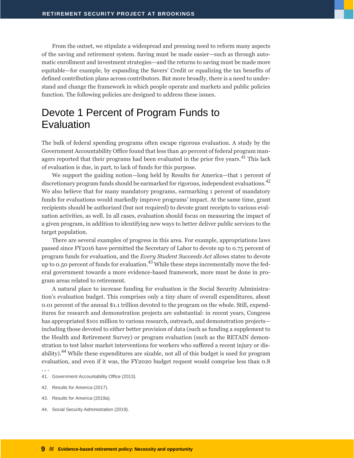From the outset, we stipulate a widespread and pressing need to reform many aspects of the saving and retirement system. Saving must be made easier—such as through automatic enrollment and investment strategies—and the returns to saving must be made more equitable—for example, by expanding the Savers' Credit or equalizing the tax benefits of defined contribution plans across contributors. But more broadly, there is a need to understand and change the framework in which people operate and markets and public policies function. The following policies are designed to address these issues.

## <span id="page-11-0"></span>Devote 1 Percent of Program Funds to Evaluation

The bulk of federal spending programs often escape rigorous evaluation. A study by the Government Accountability Office found that less than 40 percent of federal program managers reported that their programs had been evaluated in the prior five years.<sup>41</sup> This lack of evaluation is due, in part, to lack of funds for this purpose.

We support the guiding notion—long held by Results for America—that 1 percent of discretionary program funds should be earmarked for rigorous, independent evaluations.<sup>42</sup> We also believe that for many mandatory programs, earmarking 1 percent of mandatory funds for evaluations would markedly improve programs' impact. At the same time, grant recipients should be authorized (but not required) to devote grant receipts to various evaluation activities, as well. In all cases, evaluation should focus on measuring the impact of a given program, in addition to identifying new ways to better deliver public services to the target population.

There are several examples of progress in this area. For example, appropriations laws passed since FY2016 have permitted the Secretary of Labor to devote up to 0.75 percent of program funds for evaluation, and the *Every Student Succeeds Act* allows states to devote up to 0.50 percent of funds for evaluation.<sup>43</sup> While these steps incrementally move the federal government towards a more evidence-based framework, more must be done in program areas related to retirement.

A natural place to increase funding for evaluation is the Social Security Administration's evaluation budget. This comprises only a tiny share of overall expenditures, about 0.01 percent of the annual \$1.1 trillion devoted to the program on the whole. Still, expenditures for research and demonstration projects are substantial: in recent years, Congress has appropriated \$101 million to various research, outreach, and demonstration projects including those devoted to either better provision of data (such as funding a supplement to the Health and Retirement Survey) or program evaluation (such as the RETAIN demonstration to test labor market interventions for workers who suffered a recent injury or disability).<sup>44</sup> While these expenditures are sizable, not all of this budget is used for program evaluation, and even if it was, the FY2020 budget request would comprise less than 0.8

- 41. Government Accountability Office (2013).
- 42. Results for America (2017).
- 43. Results for America (2019a).
- 44. Social Security Administration (2019).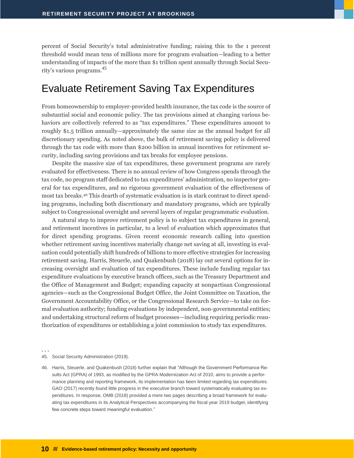percent of Social Security's total administrative funding; raising this to the 1 percent threshold would mean tens of millions more for program evaluation—leading to a better understanding of impacts of the more than \$1 trillion spent annually through Social Security's various programs.<sup>45</sup>

#### <span id="page-12-0"></span>Evaluate Retirement Saving Tax Expenditures

From homeownership to employer-provided health insurance, the tax code is the source of substantial social and economic policy. The tax provisions aimed at changing various behaviors are collectively referred to as "tax expenditures." These expenditures amount to roughly \$1.5 trillion annually—approximately the same size as the annual budget for all discretionary spending. As noted above, the bulk of retirement saving policy is delivered through the tax code with more than \$200 billion in annual incentives for retirement security, including saving provisions and tax breaks for employee pensions.

Despite the massive size of tax expenditures, these government programs are rarely evaluated for effectiveness. There is no annual review of how Congress spends through the tax code, no program staff dedicated to tax expenditures' administration, no inspector general for tax expenditures, and no rigorous government evaluation of the effectiveness of most tax breaks.<sup>46</sup> This dearth of systematic evaluation is in stark contrast to direct spending programs, including both discretionary and mandatory programs, which are typically subject to Congressional oversight and several layers of regular programmatic evaluation.

A natural step to improve retirement policy is to subject tax expenditures in general, and retirement incentives in particular, to a level of evaluation which approximates that for direct spending programs. Given recent economic research calling into question whether retirement saving incentives materially change net saving at all, investing in evaluation could potentially shift hundreds of billions to more effective strategies for increasing retirement saving. Harris, Steuerle, and Quakenbush (2018) lay out several options for increasing oversight and evaluation of tax expenditures. These include funding regular tax expenditure evaluations by executive branch offices, such as the Treasury Department and the Office of Management and Budget; expanding capacity at nonpartisan Congressional agencies—such as the Congressional Budget Office, the Joint Committee on Taxation, the Government Accountability Office, or the Congressional Research Service—to take on formal evaluation authority; funding evaluations by independent, non-governmental entities; and undertaking structural reform of budget processes—including requiring periodic reauthorization of expenditures or establishing a joint commission to study tax expenditures.

<sup>. . .</sup>

<sup>45.</sup> Social Security Administration (2019).

<sup>46.</sup> Harris, Steuerle, and Quakenbush (2018) further explain that "Although the Government Performance Results Act (GPRA) of 1993, as modified by the GPRA Modernization Act of 2010, aims to provide a performance planning and reporting framework, its implementation has been limited regarding tax expenditures. GAO (2017) recently found little progress in the executive branch toward systematically evaluating tax expenditures. In response, OMB (2018) provided a mere two pages describing a broad framework for evaluating tax expenditures in its Analytical Perspectives accompanying the fiscal year 2019 budget, identifying few concrete steps toward meaningful evaluation."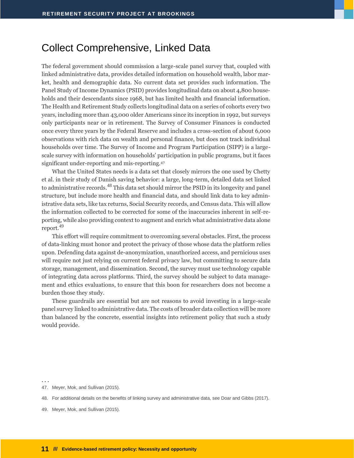#### <span id="page-13-0"></span>Collect Comprehensive, Linked Data

The federal government should commission a large-scale panel survey that, coupled with linked administrative data, provides detailed information on household wealth, labor market, health and demographic data. No current data set provides such information. The Panel Study of Income Dynamics (PSID) provides longitudinal data on about 4,800 households and their descendants since 1968, but has limited health and financial information. The Health and Retirement Study collects longitudinal data on a series of cohorts every two years, including more than 43,000 older Americans since its inception in 1992, but surveys only participants near or in retirement. The Survey of Consumer Finances is conducted once every three years by the Federal Reserve and includes a cross-section of about 6,000 observations with rich data on wealth and personal finance, but does not track individual households over time. The Survey of Income and Program Participation (SIPP) is a largescale survey with information on households' participation in public programs, but it faces significant under-reporting and mis-reporting.<sup>47</sup>

What the United States needs is a data set that closely mirrors the one used by Chetty et al. in their study of Danish saving behavior: a large, long-term, detailed data set linked to administrative records.<sup>48</sup> This data set should mirror the PSID in its longevity and panel structure, but include more health and financial data, and should link data to key administrative data sets, like tax returns, Social Security records, and Census data. This will allow the information collected to be corrected for some of the inaccuracies inherent in self-reporting, while also providing context to augment and enrich what administrative data alone report.<sup>49</sup>

This effort will require commitment to overcoming several obstacles. First, the process of data-linking must honor and protect the privacy of those whose data the platform relies upon. Defending data against de-anonymization, unauthorized access, and pernicious uses will require not just relying on current federal privacy law, but committing to secure data storage, management, and dissemination. Second, the survey must use technology capable of integrating data across platforms. Third, the survey should be subject to data management and ethics evaluations, to ensure that this boon for researchers does not become a burden those they study.

These guardrails are essential but are not reasons to avoid investing in a large-scale panel survey linked to administrative data. The costs of broader data collection will be more than balanced by the concrete, essential insights into retirement policy that such a study would provide.

<sup>. . .</sup>

<sup>47.</sup> Meyer, Mok, and Sullivan (2015).

<sup>48.</sup> For additional details on the benefits of linking survey and administrative data, see Doar and Gibbs (2017).

<sup>49.</sup> Meyer, Mok, and Sullivan (2015).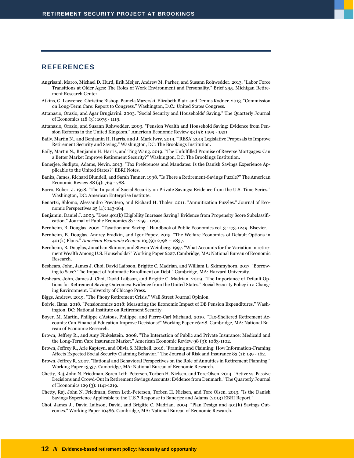#### <span id="page-14-0"></span>**REFERENCES**

- Angrisani, Marco, Michael D. Hurd, Erik Meijer, Andrew M. Parker, and Susann Rohwedder. 2013. "Labor Force Transitions at Older Ages: The Roles of Work Environment and Personality." Brief 295. Michigan Retirement Research Center.
- Atkins, G. Lawrence, Christine Bishop, Pamela Mazerski, Elizabeth Blair, and Dennis Kodner. 2013. "Commission on Long-Term Care: Report to Congress." Washington, D.C.: United States Congress.
- Attanasio, Orazio, and Agar Brugiavini. 2003. "Social Security and Households' Saving." The Quarterly Journal of Economics 118 (3): 1075 - 1119.
- Attanasio, Orazio, and Susann Rohwedder. 2003. "Pension Wealth and Household Saving: Evidence from Pension Reforms in the United Kingdom." American Economic Review 93 (5): 1499 - 1521.
- Baily, Martin N., and Benjamin H. Harris, and J. Mark Iwry. 2019. "'RESA' 2019 Legislative Proposals to Improve Retirement Security and Saving." Washington, DC: The Brookings Institution.
- Baily, Martin N., Benjamin H. Harris, and Ting Wang. 2019. "The Unfulfilled Promise of Reverse Mortgages: Can a Better Market Improve Retirement Security?" Washington, DC: The Brookings Institution.
- Banerjee, Sudipto, Adams, Nevin. 2013. "Tax Preferences and Mandates: Is the Danish Savings Experience Applicable to the United States?" EBRI Notes.
- Banks, James, Richard Blundell, and Sarah Tanner. 1998. "Is There a Retirement-Savings Puzzle?" The American Economic Review 88 (4): 769 - 788.
- Barro, Robert J. 1978. "The Impact of Social Security on Private Savings: Evidence from the U.S. Time Series." Washington, DC: American Enterprise Institute.
- Benartzi, Shlomo, Alessandro Previtero, and Richard H. Thaler. 2011. "Annuitization Puzzles." Journal of Economic Perspectives 25 (4): 143-164.
- Benjamin, Daniel J. 2003. "Does 401(k) Eligibility Increase Saving? Evidence from Propensity Score Subclassification." Journal of Public Economics 87: 1259 - 1290.
- Bernheim, B. Douglas. 2002. "Taxation and Saving." Handbook of Public Economics vol. 3 1173-1249. Elsevier.
- Bernheim, B. Douglas, Andrey Fradkin, and Igor Popov. 2015. "The Welfare Economics of Default Options in 401(k) Plans." *American Economic Review* 105(9): 2798 – 2837.
- Bernheim, B. Douglas, Jonathan Skinner, and Steven Weinberg. 1997. "What Accounts for the Variation in retirement Wealth Among U.S. Households?" Working Paper 6227. Cambridge, MA: National Bureau of Economic Research.
- Beshears, John, James J. Choi, David Laibson, Brigitte C. Madrian, and William L. Skimmyhorn. 2017. "Borrowing to Save? The Impact of Automatic Enrollment on Debt." Cambridge, MA: Harvard University.
- Beshears, John, James J. Choi, David Laibson, and Brigitte C. Madrian. 2009. "The Importance of Default Options for Retirement Saving Outcomes: Evidence from the United States." Social Security Policy in a Changing Environment. University of Chicago Press.
- Biggs, Andrew. 2019. "The Phony Retirement Crisis." Wall Street Journal Opinion.
- Boivie, Ilana. 2018. "Pensionomics 2018: Measuring the Economic Impact of DB Pension Expenditures." Washington, DC: National Institute on Retirement Security.
- Boyer, M. Martin, Philippe d'Astous, Philippe, and Pierre-Carl Michaud. 2019. "Tax-Sheltered Retirement Accounts: Can Financial Education Improve Decisions?" Working Paper 26128. Cambridge, MA: National Bureau of Economic Research.
- Brown, Jeffrey R., and Amy Finkelstein. 2008. "The Interaction of Public and Private Insurance: Medicaid and the Long-Term Care Insurance Market." American Economic Review 98 (3): 1083-1102.
- Brown, Jeffrey R., Arie Kapteyn, and Olivia S. Mitchell. 2016. "Framing and Claiming: How Information-Framing Affects Expected Social Security Claiming Behavior." The Journal of Risk and Insurance 83 (1): 139 - 162.
- Brown, Jeffrey R. 2007. "Rational and Behavioral Perspectives on the Role of Annuities in Retirement Planning." Working Paper 13537. Cambridge, MA: National Bureau of Economic Research.
- Chetty, Raj, John N. Friedman, Søren Leth-Petersen, Torben H. Nielsen, and Tore Olsen. 2014. "Active vs. Passive Decisions and Crowd-Out in Retirement Savings Accounts: Evidence from Denmark." The Quarterly Journal of Economics 129 (3): 1141-1219.
- Chetty, Raj, John N. Friedman, Søren Leth-Petersen, Torben H. Nielsen, and Tore Olsen. 2013. "Is the Danish Savings Experience Applicable to the U.S.? Response to Banerjee and Adams (2013) EBRI Report."
- Choi, James J., David Laibson, David, and Brigitte C. Madrian. 2004. "Plan Design and 401(k) Savings Outcomes." Working Paper 10486. Cambridge, MA: National Bureau of Economic Research.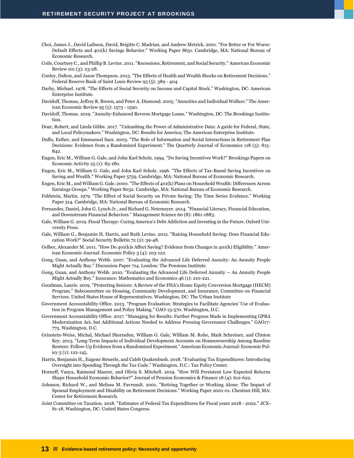- Choi, James J., David Laibson, David, Brigitte C. Madrian, and Andrew Metrick. 2001. "For Better or For Worse: Default Effects and 401(k) Savings Behavior." Working Paper 8651. Cambridge, MA: National Bureau of Economic Research.
- Coile, Courtney C., and Phillip B. Levine. 2011. "Recessions, Retirement, and Social Security." American Economic Review 101 (3): 23-28.
- Conley, Dalton, and Jason Thompson. 2013. "The Effects of Health and Wealth Shocks on Retirement Decisions." Federal Reserve Bank of Saint Louis Review 95 (5): 389 - 404.
- Darby, Michael. 1978. "The Effects of Social Security on Income and Capital Stock." Washington, DC: American Enterprise Institute.
- Davidoff, Thomas, Jeffrey R. Brown, and Peter A. Diamond. 2005. "Annuities and Individual Welfare." The American Economic Review 95 (5): 1573 - 1590.
- Davidoff, Thomas. 2019. "Annuity-Enhanced Reverse Mortgage Loans." Washington, DC: The Brookings Institution.
- Doar, Robert, and Linda Gibbs. 2017. "Unleashing the Power of Administrative Data: A guide for Federal, State, and Local Policymakers." Washington, DC: Results for America; The American Enterprise Institute.
- Duflo, Esther, and Emmanuel Saez. 2003. "The Role of Information and Social Interactions in Retirement Plan Decisions: Evidence from a Randomized Experiment." The Quarterly Journal of Economics 118 (3): 815- 842.
- Engen, Eric M., William G. Gale, and John Karl Scholz. 1994. "Do Saving Incentives Work?" Brookings Papers on Economic Activity 25 (1): 85-180.
- Engen, Eric M., William G. Gale, and John Karl Scholz. 1996. "The Effects of Tax-Based Saving Incentives on Saving and Wealth." Working Paper 5759. Cambridge, MA: National Bureau of Economic Research.
- Engen, Eric M., and William G. Gale. 2000. "The Effects of 401(k) Plans on Household Wealth: Differences Across Earnings Groups." Working Paper 8032. Cambridge, MA: National Bureau of Economic Research.
- Feldstein, Martin. 1979. "The Effect of Social Security on Private Saving: The Time Series Evidence." Working Paper 314. Cambridge, MA: National Bureau of Economic Research.
- Fernandes, Daniel, John G. Lynch Jr., and Richard G. Netemeyer. 2014. "Financial Literacy, Financial Education, and Downstream Financial Behaviors." Management Science 60 (8): 1861-1883.
- Gale, William G. 2019. Fiscal Therapy: Curing America's Debt Addiction and Investing in the Future. Oxford University Press.
- Gale, William G., Benjamin H. Harris, and Ruth Levine. 2012. "Raising Household Saving: Does Financial Education Work?" Social Security Bulletin 72 (2): 39-48.
- Gelber, Alexander M. 2011. "How Do 401(k)s Affect Saving? Evidence from Changes in 401(k) Eligibility." American Economic Journal: Economic Policy 3 (4): 103-122.
- Gong, Guan, and Anthony Webb. 2007. "Evaluating the Advanced Life Deferred Annuity: An Annuity People Might Actually Buy." Discussion Paper 714. London: The Pensions Institute.
- Gong, Guan, and Anthony Webb. 2010. "Evaluating the Advanced Life Deferred Annuity -- An Annuity People Might Actually Buy." Insurance: Mathematics and Economics 46 (1): 210-221.
- Goodman, Laurie. 2019. "Protecting Seniors: A Review of the FHA's Home Equity Conversion Mortgage (HECM) Program." Subcommittee on Housing, Community Development, and Insurance, Committee on Financial Services. United States House of Representatives. Washington, DC: The Urban Institute
- Government Accountability Office. 2013. "Program Evaluation: Strategies to Facilitate Agencies' Use of Evaluation in Program Management and Policy Making." GAO-13-570. Washington, D.C.
- Government Accountability Office. 2017. "Managing for Results: Further Progress Made in Implementing GPRA Modernization Act, but Additional Actions Needed to Address Pressing Governance Challenges." GAO17- 775. Washington, D.C.
- Grinstein-Weiss, Michal, Michael Sherraden, William G. Gale, William M. Rohe, Mark Schreiner, and Clinton Key. 2013. "Long-Term Impacts of Individual Development Accounts on Homeownership Among Baseline Renters: Follow-Up Evidence from a Randomized Experiment." American Economic Journal: Economic Policy 5 (1): 122-145.
- Harris, Benjamin H., Eugene Steuerle, and Caleb Quakenbush. 2018. "Evaluating Tax Expenditures: Introducing Oversight into Spending Through the Tax Code." Washington, D.C.: Tax Policy Center.
- Horneff, Vanya, Raimond Maurer, and Olivia S. Mitchell. 2019. "How Will Persistent Low Expected Returns Shape Household Economic Behavior?" Journal of Pension Economics & Finance 18 (4): 612-622.
- Johnson, Richard W., and Melissa M. Favreault. 2001. "Retiring Together or Working Alone: The Impact of Spousal Employment and Disability on Retirement Decisions." Working Paper 2001-01. Chestnut Hill, MA: Center for Retirement Research.
- Joint Committee on Taxation. 2018. "Estimates of Federal Tax Expenditures for Fiscal years 2018 2022." JCX-81-18. Washington, DC: United States Congress.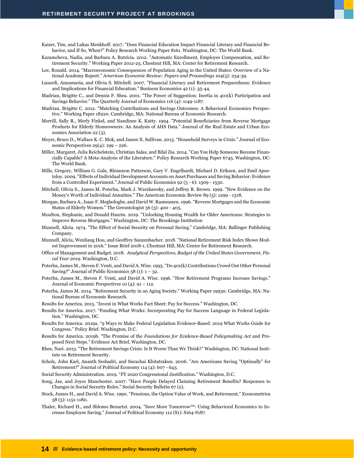- Kaiser, Tim, and Lukas Menkhoff. 2017. "Does Financial Education Impact Financial Literacy and Financial Behavior, and If So, When?" Policy Research Working Paper 8161. Washington, DC: The World Bank.
- Karamcheva, Nadia, and Barbara A. Butricia. 2012. "Automatic Enrollment, Employee Compensation, and Retirement Security." Working Paper 2012-25. Chestnut Hill, MA: Center for Retirement Research.
- Lee, Ronald. 2014. "Macroeconomic Consequences of Population Aging in the United States: Overview of a National Academy Report." *American Economic Review: Papers and Proceedings* 104(5): 234-39.
- Lusardi, Annamaria, and Olivia S. Mitchell. 2007. "Financial Literacy and Retirement Preparedness: Evidence and Implications for Financial Education." Business Economics 42 (1): 35-44.
- Madrian, Brigitte C., and Dennis F. Shea. 2001. "The Power of Suggestion: Inertia in 401(k) Participation and Savings Behavior." The Quarterly Journal of Economics 116 (4): 1149-1187.
- Madrian, Brigitte C. 2012. "Matching Contributions and Savings Outcomes: A Behavioral Economics Perspective." Working Paper 18220. Cambridge, MA: National Bureau of Economic Research.
- Merrill, Sally R., Merly Finkel, and Nandinee K. Kutty. 1994. "Potential Beneficiaries from Reverse Mortgage Products for Elderly Homeowners: An Analysis of AHS Data." Journal of the Real Estate and Urban Economics Association 22 (3).
- Meyer, Bruce D., Wallace K. C. Mok, and James X. Sullivan. 2015. "Household Surveys in Crisis." Journal of Economic Perspectives 29(4): 199 – 226.
- Miller, Margaret, Julia Reichelstein, Christian Salas, and Bilal Zia. 2014. "Can You Help Someone Become Financially Capable? A Meta-Analysis of the Literature." Policy Research Working Paper 6745. Washington, DC: The World Bank.
- Mills, Gregory, William G. Gale, Rhiannon Patterson, Gary V. Engelhardt, Michael D. Eriksen, and Emil Apostoloy. 2009. "Effects of Individual Development Accounts on Asset Purchases and Saving Behavior: Evidence from a Controlled Experiment." Journal of Public Economics 92 (5 - 6): 1509 - 1530.
- Mitchell, Olivia S., James M. Poterba, Mark J. Warshawsky, and Jeffrey R. Brown. 1999. "New Evidence on the Money's Worth of Individual Annuities." The American Economic Review 89 (5): 1299 - 1318.
- Morgan, Barbara A., Isaac F. Megbolugbe, and David W. Rasmussen. 1996. "Reverse Mortgages and the Economic Status of Elderly Women." The Gerontologist 36 (3): 400 - 405.
- Moulton, Stephanie, and Donald Haurin. 2019. "Unlocking Housing Wealth for Older Americans: Strategies to Improve Reverse Mortgages." Washington, DC: The Brookings Institution
- Munnell, Alicia. 1974. "The Effect of Social Security on Personal Saving." Cambridge, MA: Ballinger Publishing Company.
- Munnell, Alicia, Wenliang Hou, and Geoffrey Sanzenbacher. 2018. "National Retirement Risk Index Shows Modest Improvement in 2016." Issue Brief 2018-1. Chestnut Hill, MA: Center for Retirement Research.
- Office of Management and Budget. 2018. *Analytical Perspectives, Budget of the United States Government, Fiscal Year 2019*. Washington, D.C.
- Poterba, James M., Steven F. Venti, and David A. Wise. 1995. "Do 401(k) Contributions Crowd Out Other Personal Saving?" Journal of Public Economics  $58$  (1):  $1 - 32$ .
- Poterba, James M., Steven F. Venti, and David A. Wise. 1996. "How Retirement Programs Increase Savings." Journal of Economic Perspectives 10 (4): 91 – 112.
- Poterba, James M. 2014. "Retirement Security in an Aging Society." Working Paper 19930. Cambridge, MA: National Bureau of Economic Research.
- Results for America. 2015. "Invest in What Works Fact Sheet: Pay for Success." Washington, DC.
- Results for America. 2017. "Funding What Works: Incorporating Pay for Success Language in Federal Legislation." Washington, DC.
- Results for America. 2019a. "9 Ways to Make Federal Legislation Evidence-Based: 2019 What Works Guide for Congress." Policy Brief. Washington, D.C.
- Results for America. 2019b. "The Promise of the *Foundations for Evidence-Based Policymaking Act* and Proposed Next Steps." Evidence Act Brief, Washington, DC.
- Rhee, Nari. 2013. "The Retirement Savings Crisis: Is It Worse Than We Think?" Washington, DC: National Institute on Retirement Security.
- Scholz, John Karl, Ananth Seshadri, and Surachai Khitatrakun. 2006. "Are Americans Saving "Optimally" for Retirement?" Journal of Political Economy 114 (4): 607 - 643.

Social Security Administration. 2019. "FY 2020 Congressional Justification." Washington, D.C.

- Song, Jae, and Joyce Manchester. 2007. "Have People Delayed Claiming Retirement Benefits? Responses to Changes in Social Security Rules." Social Security Bulletin 67 (2).
- Stock, James H., and David A. Wise. 1990. "Pensions, the Option Value of Work, and Retirement." Econometrica 58 (5): 1151-1180.
- Thaler, Richard H., and Shlomo Benartzi. 2004. "Save More Tomorrow™: Using Behavioral Economics to Increase Employee Saving." Journal of Political Economy 112 (S1): S164-S187.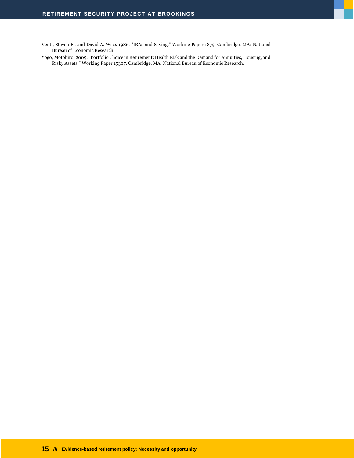Venti, Steven F., and David A. Wise. 1986. "IRAs and Saving." Working Paper 1879. Cambridge, MA: National Bureau of Economic Research

Yogo, Motohiro. 2009. "Portfolio Choice in Retirement: Health Risk and the Demand for Annuities, Housing, and Risky Assets." Working Paper 15307. Cambridge, MA: National Bureau of Economic Research.